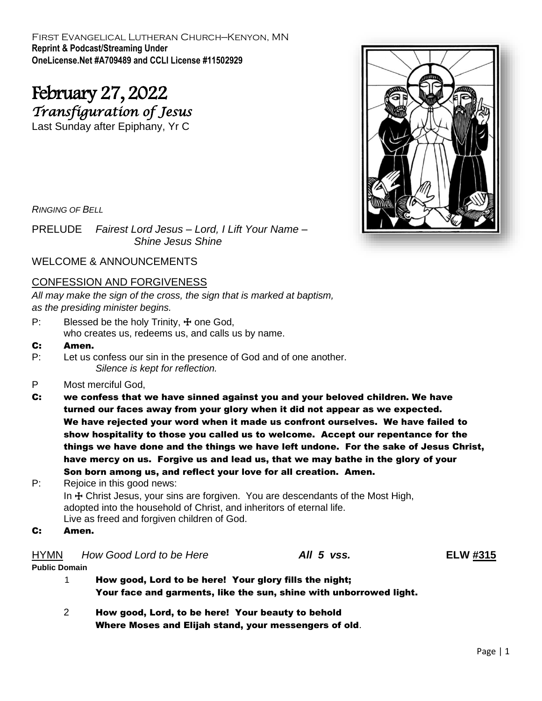First Evangelical Lutheran Church—Kenyon, MN **Reprint & Podcast/Streaming Under OneLicense.Net #A709489 and CCLI License #11502929**

# February 27, 2022 *Transfiguration of Jesus*

Last Sunday after Epiphany, Yr C

*RINGING OF BELL*

PRELUDE *Fairest Lord Jesus – Lord, I Lift Your Name – Shine Jesus Shine*

WELCOME & ANNOUNCEMENTS

## CONFESSION AND FORGIVENESS

*All may make the sign of the cross, the sign that is marked at baptism, as the presiding minister begins.*

- P: Blessed be the holy Trinity,  $\pm$  one God, who creates us, redeems us, and calls us by name.
- C: Amen.
- P: Let us confess our sin in the presence of God and of one another. *Silence is kept for reflection.*
- P Most merciful God,
- C: we confess that we have sinned against you and your beloved children. We have turned our faces away from your glory when it did not appear as we expected. We have rejected your word when it made us confront ourselves. We have failed to show hospitality to those you called us to welcome. Accept our repentance for the things we have done and the things we have left undone. For the sake of Jesus Christ, have mercy on us. Forgive us and lead us, that we may bathe in the glory of your Son born among us, and reflect your love for all creation. Amen.

P: Rejoice in this good news: In  $\pm$  Christ Jesus, your sins are forgiven. You are descendants of the Most High, adopted into the household of Christ, and inheritors of eternal life. Live as freed and forgiven children of God.

C: Amen.

HYMN *How Good Lord to be Here All 5 vss.* **ELW #315 Public Domain**

- 1 How good, Lord to be here! Your glory fills the night; Your face and garments, like the sun, shine with unborrowed light.
- 2 How good, Lord, to be here! Your beauty to behold Where Moses and Elijah stand, your messengers of old.

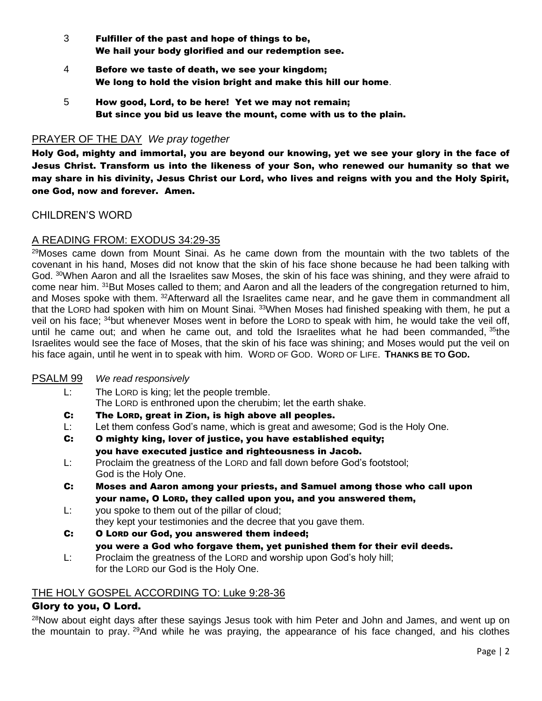- 3 Fulfiller of the past and hope of things to be, We hail your body glorified and our redemption see.
- 4 Before we taste of death, we see your kingdom; We long to hold the vision bright and make this hill our home.
- 5 How good, Lord, to be here! Yet we may not remain; But since you bid us leave the mount, come with us to the plain.

## PRAYER OF THE DAY *We pray together*

Holy God, mighty and immortal, you are beyond our knowing, yet we see your glory in the face of Jesus Christ. Transform us into the likeness of your Son, who renewed our humanity so that we may share in his divinity, Jesus Christ our Lord, who lives and reigns with you and the Holy Spirit, one God, now and forever. Amen.

## CHILDREN'S WORD

# A READING FROM: EXODUS 34:29-35

<sup>29</sup>Moses came down from Mount Sinai. As he came down from the mountain with the two tablets of the covenant in his hand, Moses did not know that the skin of his face shone because he had been talking with God. <sup>30</sup>When Aaron and all the Israelites saw Moses, the skin of his face was shining, and they were afraid to come near him. <sup>31</sup>But Moses called to them; and Aaron and all the leaders of the congregation returned to him, and Moses spoke with them. <sup>32</sup>Afterward all the Israelites came near, and he gave them in commandment all that the LORD had spoken with him on Mount Sinai. 33When Moses had finished speaking with them, he put a veil on his face; <sup>34</sup>but whenever Moses went in before the LORD to speak with him, he would take the veil off, until he came out; and when he came out, and told the Israelites what he had been commanded, <sup>35</sup>the Israelites would see the face of Moses, that the skin of his face was shining; and Moses would put the veil on his face again, until he went in to speak with him. WORD OF GOD. WORD OF LIFE. **THANKS BE TO GOD.**

### PSALM 99 *We read responsively*

- L: The LORD is king; let the people tremble. The LORD is enthroned upon the cherubim; let the earth shake.
- C: The LORD, great in Zion, is high above all peoples.
- L: Let them confess God's name, which is great and awesome; God is the Holy One.
- C: O mighty king, lover of justice, you have established equity; you have executed justice and righteousness in Jacob.
- L: Proclaim the greatness of the LORD and fall down before God's footstool; God is the Holy One.
- C: Moses and Aaron among your priests, and Samuel among those who call upon your name, O LORD, they called upon you, and you answered them,
- L: you spoke to them out of the pillar of cloud; they kept your testimonies and the decree that you gave them.
- C: O LORD our God, you answered them indeed; you were a God who forgave them, yet punished them for their evil deeds.
- L: Proclaim the greatness of the LORD and worship upon God's holy hill; for the LORD our God is the Holy One.

## THE HOLY GOSPEL ACCORDING TO: Luke 9:28-36

## Glory to you, O Lord.

<sup>28</sup>Now about eight days after these sayings Jesus took with him Peter and John and James, and went up on the mountain to pray. <sup>29</sup>And while he was praying, the appearance of his face changed, and his clothes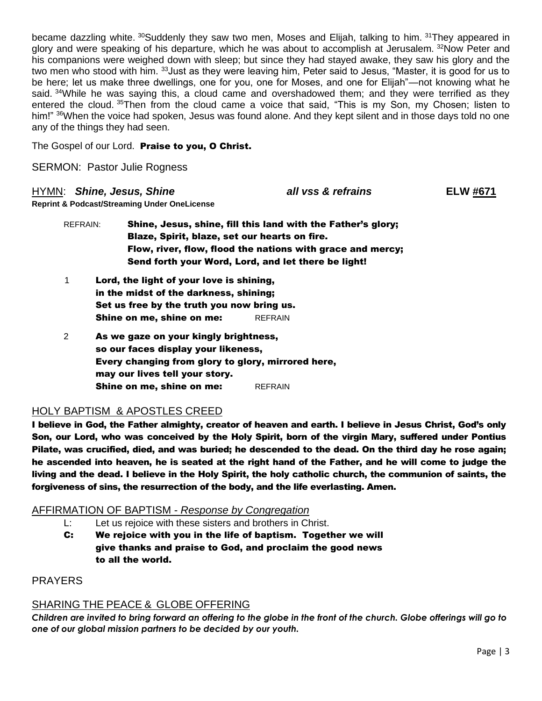became dazzling white. <sup>30</sup>Suddenly they saw two men, Moses and Elijah, talking to him. <sup>31</sup>They appeared in glory and were speaking of his departure, which he was about to accomplish at Jerusalem. <sup>32</sup>Now Peter and his companions were weighed down with sleep; but since they had stayed awake, they saw his glory and the two men who stood with him. <sup>33</sup> Just as they were leaving him, Peter said to Jesus, "Master, it is good for us to be here; let us make three dwellings, one for you, one for Moses, and one for Elijah"—not knowing what he said. <sup>34</sup>While he was saying this, a cloud came and overshadowed them; and they were terrified as they entered the cloud. <sup>35</sup>Then from the cloud came a voice that said, "This is my Son, my Chosen; listen to him!" <sup>36</sup>When the voice had spoken, Jesus was found alone. And they kept silent and in those days told no one any of the things they had seen.

The Gospel of our Lord. Praise to you, O Christ.

SERMON: Pastor Julie Rogness

### HYMN: *Shine, Jesus, Shine all vss & refrains* **ELW #671**

**Reprint & Podcast/Streaming Under OneLicense** 

- REFRAIN: Shine, Jesus, shine, fill this land with the Father's glory; Blaze, Spirit, blaze, set our hearts on fire. Flow, river, flow, flood the nations with grace and mercy; Send forth your Word, Lord, and let there be light!
- 1 Lord, the light of your love is shining, in the midst of the darkness, shining; Set us free by the truth you now bring us. **Shine on me, shine on me:** REFRAIN
- 2 As we gaze on your kingly brightness, so our faces display your likeness, Every changing from glory to glory, mirrored here, may our lives tell your story. **Shine on me, shine on me:** REFRAIN

## HOLY BAPTISM & APOSTLES CREED

I believe in God, the Father almighty, creator of heaven and earth. I believe in Jesus Christ, God's only Son, our Lord, who was conceived by the Holy Spirit, born of the virgin Mary, suffered under Pontius Pilate, was crucified, died, and was buried; he descended to the dead. On the third day he rose again; he ascended into heaven, he is seated at the right hand of the Father, and he will come to judge the living and the dead. I believe in the Holy Spirit, the holy catholic church, the communion of saints, the forgiveness of sins, the resurrection of the body, and the life everlasting. Amen.

## AFFIRMATION OF BAPTISM - *Response by Congregation*

- L: Let us rejoice with these sisters and brothers in Christ.
- C: We rejoice with you in the life of baptism. Together we will give thanks and praise to God, and proclaim the good news to all the world.

PRAYERS

## SHARING THE PEACE & GLOBE OFFERING

*Children are invited to bring forward an offering to the globe in the front of the church. Globe offerings will go to one of our global mission partners to be decided by our youth.*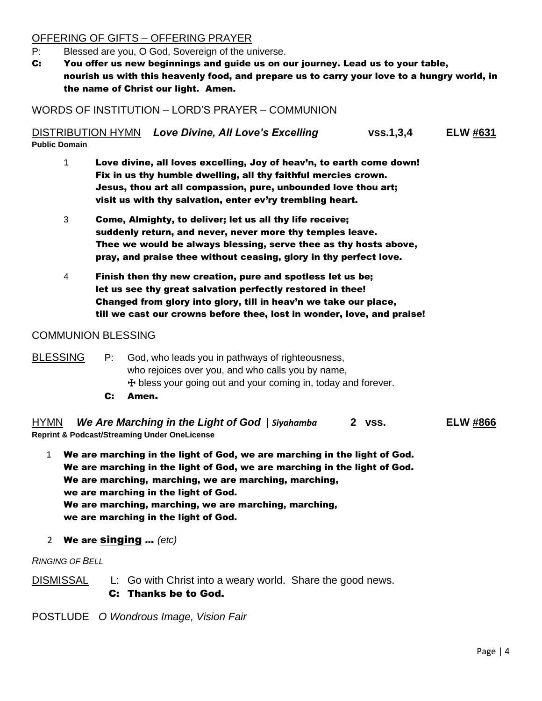# OFFERING OF GIFTS – OFFERING PRAYER

- P: Blessed are you, O God, Sovereign of the universe.
- C: You offer us new beginnings and guide us on our journey. Lead us to your table, nourish us with this heavenly food, and prepare us to carry your love to a hungry world, in the name of Christ our light. Amen.

WORDS OF INSTITUTION – LORD'S PRAYER – COMMUNION

DISTRIBUTION HYMN *Love Divine, All Love's Excelling* **vss.1,3,4 ELW #631 Public Domain**

- 1 Love divine, all loves excelling, Joy of heav'n, to earth come down! Fix in us thy humble dwelling, all thy faithful mercies crown. Jesus, thou art all compassion, pure, unbounded love thou art; visit us with thy salvation, enter ev'ry trembling heart.
- 3 Come, Almighty, to deliver; let us all thy life receive; suddenly return, and never, never more thy temples leave. Thee we would be always blessing, serve thee as thy hosts above, pray, and praise thee without ceasing, glory in thy perfect love.
- 4 Finish then thy new creation, pure and spotless let us be; let us see thy great salvation perfectly restored in thee! Changed from glory into glory, till in heav'n we take our place, till we cast our crowns before thee, lost in wonder, love, and praise!

## COMMUNION BLESSING

BLESSING P: God, who leads you in pathways of righteousness, who rejoices over you, and who calls you by name,  $+$  bless your going out and your coming in, today and forever.

C: Amen.

HYMN *We Are Marching in the Light of God* **|** *Siyahamba* **2 vss. ELW #866 Reprint & Podcast/Streaming Under OneLicense** 

- 1 We are marching in the light of God, we are marching in the light of God. We are marching in the light of God, we are marching in the light of God. We are marching, marching, we are marching, marching, we are marching in the light of God. We are marching, marching, we are marching, marching, we are marching in the light of God.
- 2 We are singing ... *(etc)*

*RINGING OF BELL*

DISMISSAL L: Go with Christ into a weary world. Share the good news. C: Thanks be to God.

POSTLUDE *O Wondrous Image, Vision Fair*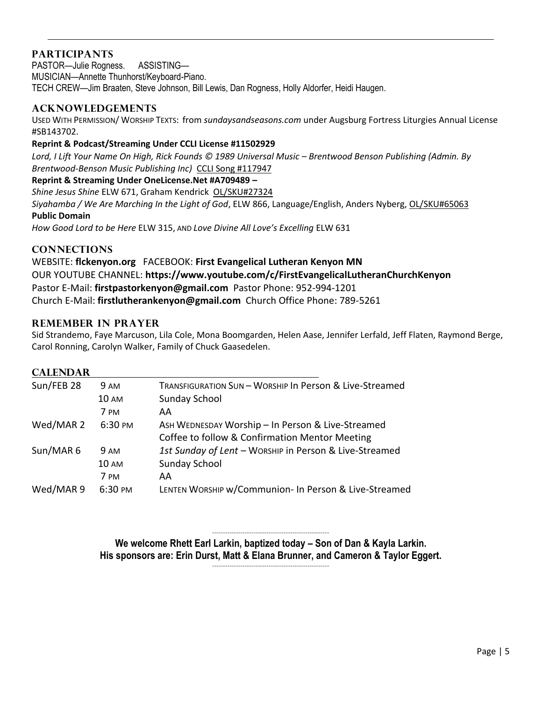# **PARTICIPANTS**

PASTOR—Julie Rogness. ASSISTING— MUSICIAN—Annette Thunhorst/Keyboard-Piano. TECH CREW—Jim Braaten, Steve Johnson, Bill Lewis, Dan Rogness, Holly Aldorfer, Heidi Haugen.

## **ACKNOWLEDGEMENTS**

USED WITH PERMISSION/ WORSHIP TEXTS: from *sundaysandseasons.com* under Augsburg Fortress Liturgies Annual License #SB143702.

#### **Reprint & Podcast/Streaming Under CCLI License #11502929**

Lord, I Lift Your Name On High, Rick Founds © 1989 Universal Music – Brentwood Benson Publishing (Admin. By *Brentwood-Benson Music Publishing Inc)* CCLI Song #117947

#### **Reprint & Streaming Under OneLicense.Net #A709489 –**

*Shine Jesus Shine* ELW 671, Graham Kendrick OL/SK[U#27324](https://www.onelicense.net/search?term=Shine+Jesus+Shine&hymnal=&hymn=&page=1&type=submit-term&addition=&downloads-only=false)

*Siyahamba / We Are Marching In the Light of God*, ELW 866, Language/English, Anders Nyberg, OL/SK[U#65063](https://www.onelicense.net/search?term=We+Are+Marching+in+the+Light+of+God&hymnal=&hymn=&page=1&type=submit-term&addition=&downloads-only=false) **Public Domain**

*How Good Lord to be Here* ELW 315, AND *Love Divine All Love's Excelling* ELW 631

## **CONNECTIONS**

WEBSITE: **flckenyon.org** FACEBOOK: **First Evangelical Lutheran Kenyon MN** OUR YOUTUBE CHANNEL: **<https://www.youtube.com/c/FirstEvangelicalLutheranChurchKenyon>** Pastor E-Mail: **[firstpastorkenyon@gmail.com](mailto:firstpastorkenyon@gmail.com)** Pastor Phone: 952-994-1201 Church E-Mail: **[firstlutherankenyon@gmail.com](mailto:firstlutherankenyon@gmail.com)** Church Office Phone: 789-5261

## **REMEMBER IN PRAYER**

Sid Strandemo, Faye Marcuson, Lila Cole, Mona Boomgarden, Helen Aase, Jennifer Lerfald, Jeff Flaten, Raymond Berge, Carol Ronning, Carolyn Walker, Family of Chuck Gaasedelen.

### **CALENDAR**

| <b>9 AM</b>          | TRANSFIGURATION SUN - WORSHIP In Person & Live-Streamed |
|----------------------|---------------------------------------------------------|
| <b>10 AM</b>         | Sunday School                                           |
| 7 PM                 | AA                                                      |
| Wed/MAR 2<br>6:30 PM | ASH WEDNESDAY Worship - In Person & Live-Streamed       |
|                      | Coffee to follow & Confirmation Mentor Meeting          |
| <b>9 AM</b>          | 1st Sunday of Lent - WORSHIP in Person & Live-Streamed  |
| <b>10 AM</b>         | Sunday School                                           |
| 7 PM                 | AA                                                      |
| 6:30 PM              | LENTEN WORSHIP w/Communion- In Person & Live-Streamed   |
|                      |                                                         |

------------------------------------------------------ **We welcome Rhett Earl Larkin, baptized today – Son of Dan & Kayla Larkin. His sponsors are: Erin Durst, Matt & Elana Brunner, and Cameron & Taylor Eggert.** ------------------------------------------------------